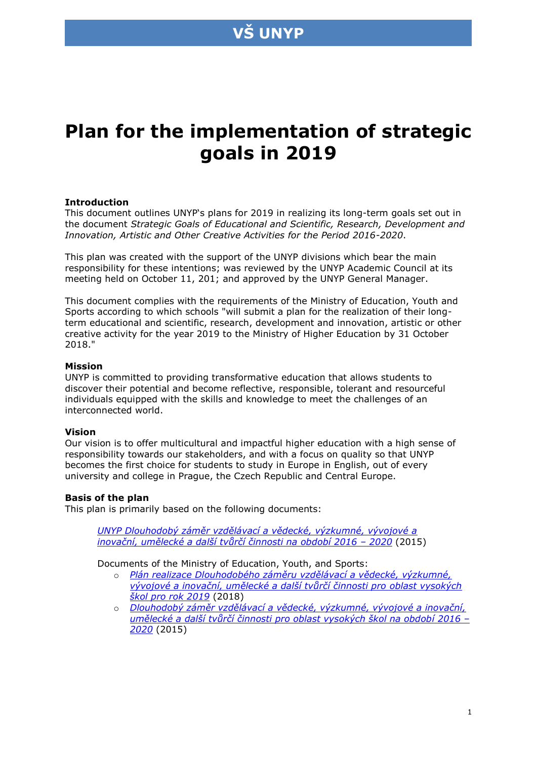

# **Plan for the implementation of strategic goals in 2019**

### **Introduction**

This document outlines UNYP's plans for 2019 in realizing its long-term goals set out in the document *Strategic Goals of Educational and Scientific, Research, Development and Innovation, Artistic and Other Creative Activities for the Period 2016-2020*.

This plan was created with the support of the UNYP divisions which bear the main responsibility for these intentions; was reviewed by the UNYP Academic Council at its meeting held on October 11, 201; and approved by the UNYP General Manager.

This document complies with the requirements of the Ministry of Education, Youth and Sports according to which schools "will submit a plan for the realization of their longterm educational and scientific, research, development and innovation, artistic or other creative activity for the year 2019 to the Ministry of Higher Education by 31 October 2018."

#### **Mission**

UNYP is committed to providing transformative education that allows students to discover their potential and become reflective, responsible, tolerant and resourceful individuals equipped with the skills and knowledge to meet the challenges of an interconnected world.

### **Vision**

Our vision is to offer multicultural and impactful higher education with a high sense of responsibility towards our stakeholders, and with a focus on quality so that UNYP becomes the first choice for students to study in Europe in English, out of every university and college in Prague, the Czech Republic and Central Europe.

### **Basis of the plan**

This plan is primarily based on the following documents:

*UNYP [Dlouhodobý záměr vzdělávací a vědecké, výzkumné, vývojové a](https://www.unyp.cz/about/about-unyp/annual-reports) [inovační, umělecké a další tvůrčí činnosti na období 2016 –](https://www.unyp.cz/about/about-unyp/annual-reports) 2020* (2015)

Documents of the Ministry of Education, Youth, and Sports:

- o *[Plán realizace Dlouhodobého záměru vzdělávací a vědecké, výzkumné,](http://www.msmt.cz/vzdelavani/vysoke-skolstvi/plan-realizace-dlouhodobeho-zameru-pro-oblast-vysokych-skol-1)  [vývojové a inovační, umělecké a další tvůrčí činnosti pro](http://www.msmt.cz/vzdelavani/vysoke-skolstvi/plan-realizace-dlouhodobeho-zameru-pro-oblast-vysokych-skol-1) oblast vysokých* 
	- *[škol pro rok 2019](http://www.msmt.cz/vzdelavani/vysoke-skolstvi/plan-realizace-dlouhodobeho-zameru-pro-oblast-vysokych-skol-1)* (2018) o *[Dlouhodobý záměr vzdělávací a vědecké, výzkumné, vývojové a inovační,](http://www.msmt.cz/vzdelavani/vysoke-skolstvi/dlouhodoby-zamer)  [umělecké a další tvůrčí činnosti pro oblast vysokých škol na obdob](http://www.msmt.cz/vzdelavani/vysoke-skolstvi/dlouhodoby-zamer)í 2016 – [2020](http://www.msmt.cz/vzdelavani/vysoke-skolstvi/dlouhodoby-zamer)* (2015)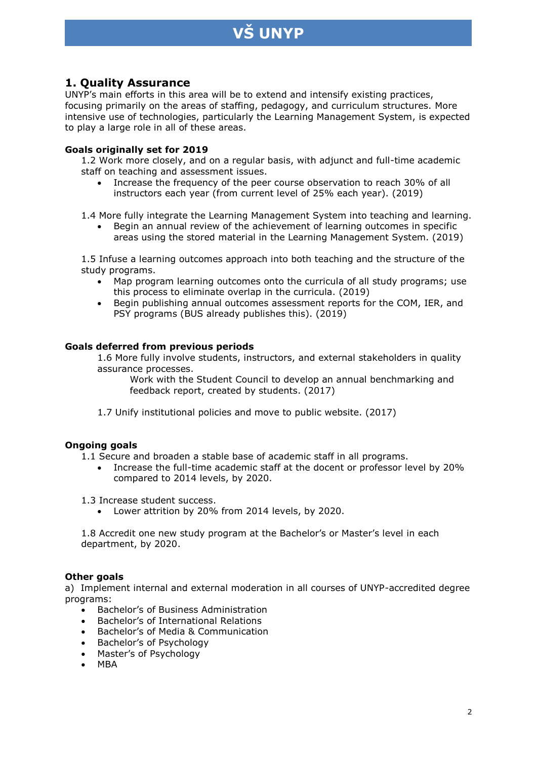## **VŠ UNYP**

## **1. Quality Assurance**

UNYP's main efforts in this area will be to extend and intensify existing practices, focusing primarily on the areas of staffing, pedagogy, and curriculum structures. More intensive use of technologies, particularly the Learning Management System, is expected to play a large role in all of these areas.

## **Goals originally set for 2019**

1.2 Work more closely, and on a regular basis, with adjunct and full-time academic staff on teaching and assessment issues.

 Increase the frequency of the peer course observation to reach 30% of all instructors each year (from current level of 25% each year). (2019)

1.4 More fully integrate the Learning Management System into teaching and learning.

 Begin an annual review of the achievement of learning outcomes in specific areas using the stored material in the Learning Management System. (2019)

1.5 Infuse a learning outcomes approach into both teaching and the structure of the study programs.

- Map program learning outcomes onto the curricula of all study programs; use this process to eliminate overlap in the curricula. (2019)
- Begin publishing annual outcomes assessment reports for the COM, IER, and PSY programs (BUS already publishes this). (2019)

### **Goals deferred from previous periods**

1.6 More fully involve students, instructors, and external stakeholders in quality assurance processes.

Work with the Student Council to develop an annual benchmarking and feedback report, created by students. (2017)

1.7 Unify institutional policies and move to public website. (2017)

### **Ongoing goals**

1.1 Secure and broaden a stable base of academic staff in all programs.

 Increase the full-time academic staff at the docent or professor level by 20% compared to 2014 levels, by 2020.

1.3 Increase student success.

Lower attrition by 20% from 2014 levels, by 2020.

1.8 Accredit one new study program at the Bachelor's or Master's level in each department, by 2020.

### **Other goals**

a) Implement internal and external moderation in all courses of UNYP-accredited degree programs:

- Bachelor's of Business Administration
- Bachelor's of International Relations
- Bachelor's of Media & Communication
- Bachelor's of Psychology
- Master's of Psychology
- MBA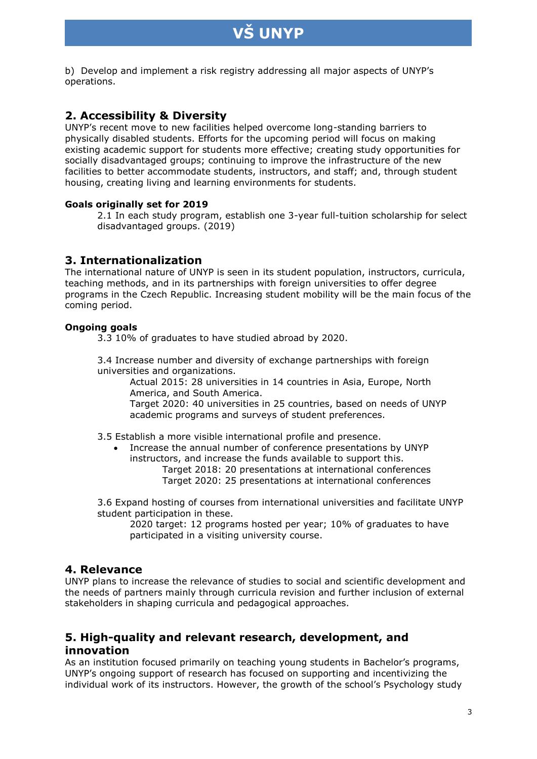## **VŠ UNYP**

b) Develop and implement a risk registry addressing all major aspects of UNYP's operations.

## **2. Accessibility & Diversity**

UNYP's recent move to new facilities helped overcome long-standing barriers to physically disabled students. Efforts for the upcoming period will focus on making existing academic support for students more effective; creating study opportunities for socially disadvantaged groups; continuing to improve the infrastructure of the new facilities to better accommodate students, instructors, and staff; and, through student housing, creating living and learning environments for students.

## **Goals originally set for 2019**

2.1 In each study program, establish one 3-year full-tuition scholarship for select disadvantaged groups. (2019)

## **3. Internationalization**

The international nature of UNYP is seen in its student population, instructors, curricula, teaching methods, and in its partnerships with foreign universities to offer degree programs in the Czech Republic. Increasing student mobility will be the main focus of the coming period.

## **Ongoing goals**

3.3 10% of graduates to have studied abroad by 2020.

3.4 Increase number and diversity of exchange partnerships with foreign universities and organizations.

Actual 2015: 28 universities in 14 countries in Asia, Europe, North America, and South America.

Target 2020: 40 universities in 25 countries, based on needs of UNYP academic programs and surveys of student preferences.

3.5 Establish a more visible international profile and presence.

 Increase the annual number of conference presentations by UNYP instructors, and increase the funds available to support this.

Target 2018: 20 presentations at international conferences Target 2020: 25 presentations at international conferences

3.6 Expand hosting of courses from international universities and facilitate UNYP student participation in these.

2020 target: 12 programs hosted per year; 10% of graduates to have participated in a visiting university course.

## **4. Relevance**

UNYP plans to increase the relevance of studies to social and scientific development and the needs of partners mainly through curricula revision and further inclusion of external stakeholders in shaping curricula and pedagogical approaches.

## **5. High-quality and relevant research, development, and innovation**

As an institution focused primarily on teaching young students in Bachelor's programs, UNYP's ongoing support of research has focused on supporting and incentivizing the individual work of its instructors. However, the growth of the school's Psychology study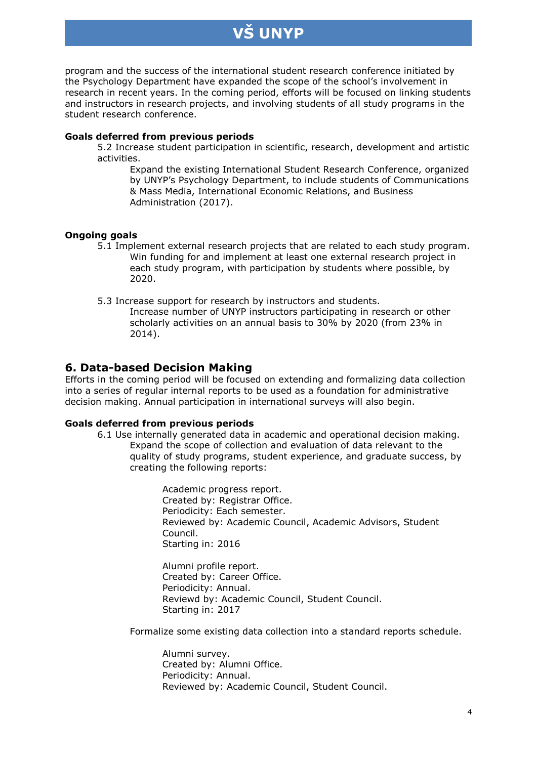## **VŠ UNYP**

program and the success of the international student research conference initiated by the Psychology Department have expanded the scope of the school's involvement in research in recent years. In the coming period, efforts will be focused on linking students and instructors in research projects, and involving students of all study programs in the student research conference.

### **Goals deferred from previous periods**

5.2 Increase student participation in scientific, research, development and artistic activities.

Expand the existing International Student Research Conference, organized by UNYP's Psychology Department, to include students of Communications & Mass Media, International Economic Relations, and Business Administration (2017).

## **Ongoing goals**

5.1 Implement external research projects that are related to each study program. Win funding for and implement at least one external research project in each study program, with participation by students where possible, by 2020.

5.3 Increase support for research by instructors and students.

Increase number of UNYP instructors participating in research or other scholarly activities on an annual basis to 30% by 2020 (from 23% in 2014).

## **6. Data-based Decision Making**

Efforts in the coming period will be focused on extending and formalizing data collection into a series of regular internal reports to be used as a foundation for administrative decision making. Annual participation in international surveys will also begin.

## **Goals deferred from previous periods**

6.1 Use internally generated data in academic and operational decision making. Expand the scope of collection and evaluation of data relevant to the quality of study programs, student experience, and graduate success, by creating the following reports:

> Academic progress report. Created by: Registrar Office. Periodicity: Each semester. Reviewed by: Academic Council, Academic Advisors, Student Council. Starting in: 2016

Alumni profile report. Created by: Career Office. Periodicity: Annual. Reviewd by: Academic Council, Student Council. Starting in: 2017

Formalize some existing data collection into a standard reports schedule.

Alumni survey. Created by: Alumni Office. Periodicity: Annual. Reviewed by: Academic Council, Student Council.